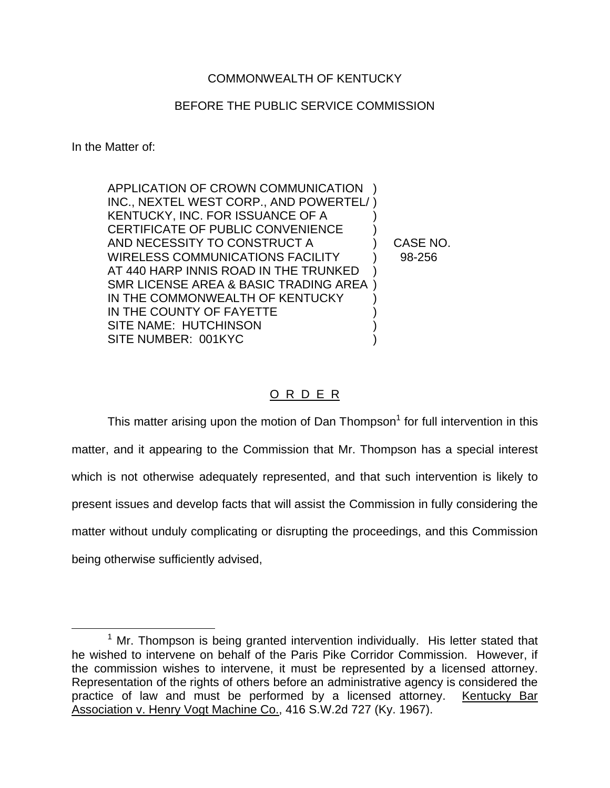## COMMONWEALTH OF KENTUCKY

## BEFORE THE PUBLIC SERVICE COMMISSION

In the Matter of:

| CASE NO. |
|----------|
| 98-256   |
|          |
|          |
|          |
|          |
|          |
|          |
|          |

## O R D E R

This matter arising upon the motion of Dan Thompson<sup>1</sup> for full intervention in this matter, and it appearing to the Commission that Mr. Thompson has a special interest which is not otherwise adequately represented, and that such intervention is likely to present issues and develop facts that will assist the Commission in fully considering the matter without unduly complicating or disrupting the proceedings, and this Commission being otherwise sufficiently advised,

 $1$  Mr. Thompson is being granted intervention individually. His letter stated that he wished to intervene on behalf of the Paris Pike Corridor Commission. However, if the commission wishes to intervene, it must be represented by a licensed attorney. Representation of the rights of others before an administrative agency is considered the practice of law and must be performed by a licensed attorney. Kentucky Bar Association v. Henry Vogt Machine Co., 416 S.W.2d 727 (Ky. 1967).